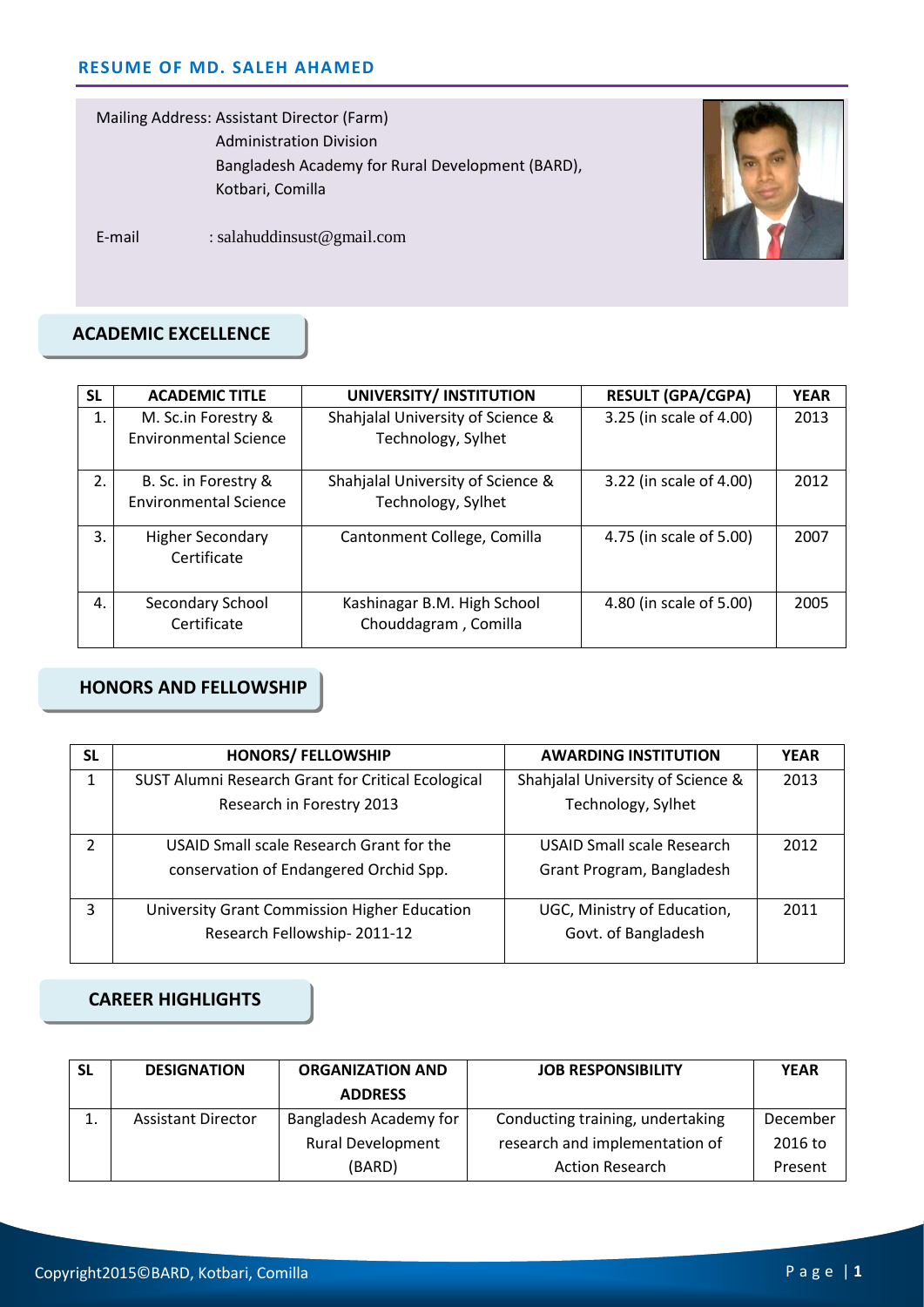Mailing Address: Assistant Director (Farm) Administration Division Bangladesh Academy for Rural Development (BARD), Kotbari, Comilla



E-mail : salahuddinsust@gmail.com

## **ACADEMIC EXCELLENCE**

| <b>SL</b> | <b>ACADEMIC TITLE</b>                                | UNIVERSITY/ INSTITUTION                                 | <b>RESULT (GPA/CGPA)</b> | <b>YEAR</b> |
|-----------|------------------------------------------------------|---------------------------------------------------------|--------------------------|-------------|
| 1.        | M. Sc.in Forestry &<br><b>Environmental Science</b>  | Shahjalal University of Science &<br>Technology, Sylhet | 3.25 (in scale of 4.00)  | 2013        |
| 2.        | B. Sc. in Forestry &<br><b>Environmental Science</b> | Shahjalal University of Science &<br>Technology, Sylhet | 3.22 (in scale of 4.00)  | 2012        |
| 3.        | <b>Higher Secondary</b><br>Certificate               | Cantonment College, Comilla                             | 4.75 (in scale of 5.00)  | 2007        |
| 4.        | Secondary School<br>Certificate                      | Kashinagar B.M. High School<br>Chouddagram, Comilla     | 4.80 (in scale of 5.00)  | 2005        |

### **HONORS AND FELLOWSHIP**

| <b>SL</b>      | <b>HONORS/ FELLOWSHIP</b>                          | <b>AWARDING INSTITUTION</b>       | <b>YEAR</b> |
|----------------|----------------------------------------------------|-----------------------------------|-------------|
| 1              | SUST Alumni Research Grant for Critical Ecological | Shahjalal University of Science & | 2013        |
|                | Research in Forestry 2013                          | Technology, Sylhet                |             |
| $\overline{2}$ | USAID Small scale Research Grant for the           | USAID Small scale Research        | 2012        |
|                | conservation of Endangered Orchid Spp.             | Grant Program, Bangladesh         |             |
| 3              | University Grant Commission Higher Education       | UGC, Ministry of Education,       | 2011        |
|                | Research Fellowship-2011-12                        | Govt. of Bangladesh               |             |

## **CAREER HIGHLIGHTS**

| SL       | <b>DESIGNATION</b>        | <b>ORGANIZATION AND</b><br><b>ADDRESS</b> | <b>JOB RESPONSIBILITY</b>        | <b>YEAR</b> |
|----------|---------------------------|-------------------------------------------|----------------------------------|-------------|
| <b>.</b> | <b>Assistant Director</b> | Bangladesh Academy for                    | Conducting training, undertaking | December    |
|          |                           | <b>Rural Development</b>                  | research and implementation of   | 2016 to     |
|          |                           | (BARD)                                    | <b>Action Research</b>           | Present     |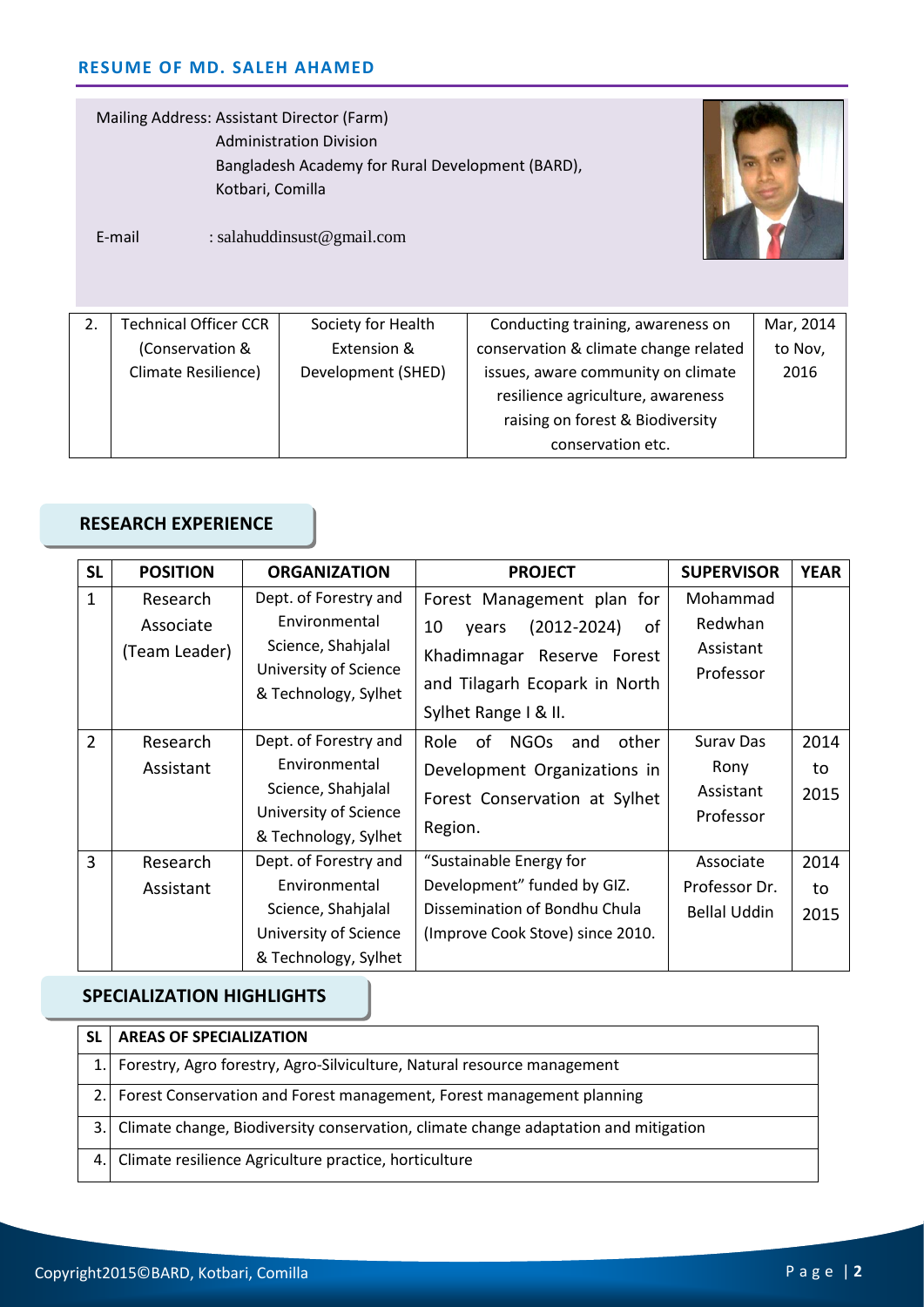Mailing Address: Assistant Director (Farm) Administration Division Bangladesh Academy for Rural Development (BARD), Kotbari, Comilla



E-mail : salahuddinsust@gmail.com

| <b>Technical Officer CCR</b> | Society for Health | Conducting training, awareness on     | Mar, 2014 |
|------------------------------|--------------------|---------------------------------------|-----------|
| (Conservation &              | Extension &        | conservation & climate change related | to Nov,   |
| Climate Resilience)          | Development (SHED) | issues, aware community on climate    | 2016      |
|                              |                    | resilience agriculture, awareness     |           |
|                              |                    | raising on forest & Biodiversity      |           |
|                              |                    | conservation etc.                     |           |

### **RESEARCH EXPERIENCE**

| <b>SL</b>      | <b>POSITION</b>                        | <b>ORGANIZATION</b>                                                                                           | <b>PROJECT</b>                                                                                                                                            | <b>SUPERVISOR</b>                                  | <b>YEAR</b>        |
|----------------|----------------------------------------|---------------------------------------------------------------------------------------------------------------|-----------------------------------------------------------------------------------------------------------------------------------------------------------|----------------------------------------------------|--------------------|
| 1              | Research<br>Associate<br>(Team Leader) | Dept. of Forestry and<br>Environmental<br>Science, Shahjalal<br>University of Science<br>& Technology, Sylhet | Forest Management plan for<br>of<br>10<br>$(2012 - 2024)$<br>years<br>Khadimnagar Reserve Forest<br>and Tilagarh Ecopark in North<br>Sylhet Range I & II. | Mohammad<br>Redwhan<br>Assistant<br>Professor      |                    |
| $\overline{2}$ | Research<br>Assistant                  | Dept. of Forestry and<br>Environmental<br>Science, Shahjalal<br>University of Science<br>& Technology, Sylhet | Role<br>of<br><b>NGOs</b><br>other<br>and<br>Development Organizations in<br>Forest Conservation at Sylhet<br>Region.                                     | <b>Surav Das</b><br>Rony<br>Assistant<br>Professor | 2014<br>to<br>2015 |
| 3              | Research<br>Assistant                  | Dept. of Forestry and<br>Environmental<br>Science, Shahjalal<br>University of Science<br>& Technology, Sylhet | "Sustainable Energy for<br>Development" funded by GIZ.<br>Dissemination of Bondhu Chula<br>(Improve Cook Stove) since 2010.                               | Associate<br>Professor Dr.<br><b>Bellal Uddin</b>  | 2014<br>to<br>2015 |

## **SPECIALIZATION HIGHLIGHTS**

|    | <b>AREAS OF SPECIALIZATION</b>                                                      |
|----|-------------------------------------------------------------------------------------|
|    | Forestry, Agro forestry, Agro-Silviculture, Natural resource management             |
|    | Forest Conservation and Forest management, Forest management planning               |
| 3. | Climate change, Biodiversity conservation, climate change adaptation and mitigation |
| 4. | Climate resilience Agriculture practice, horticulture                               |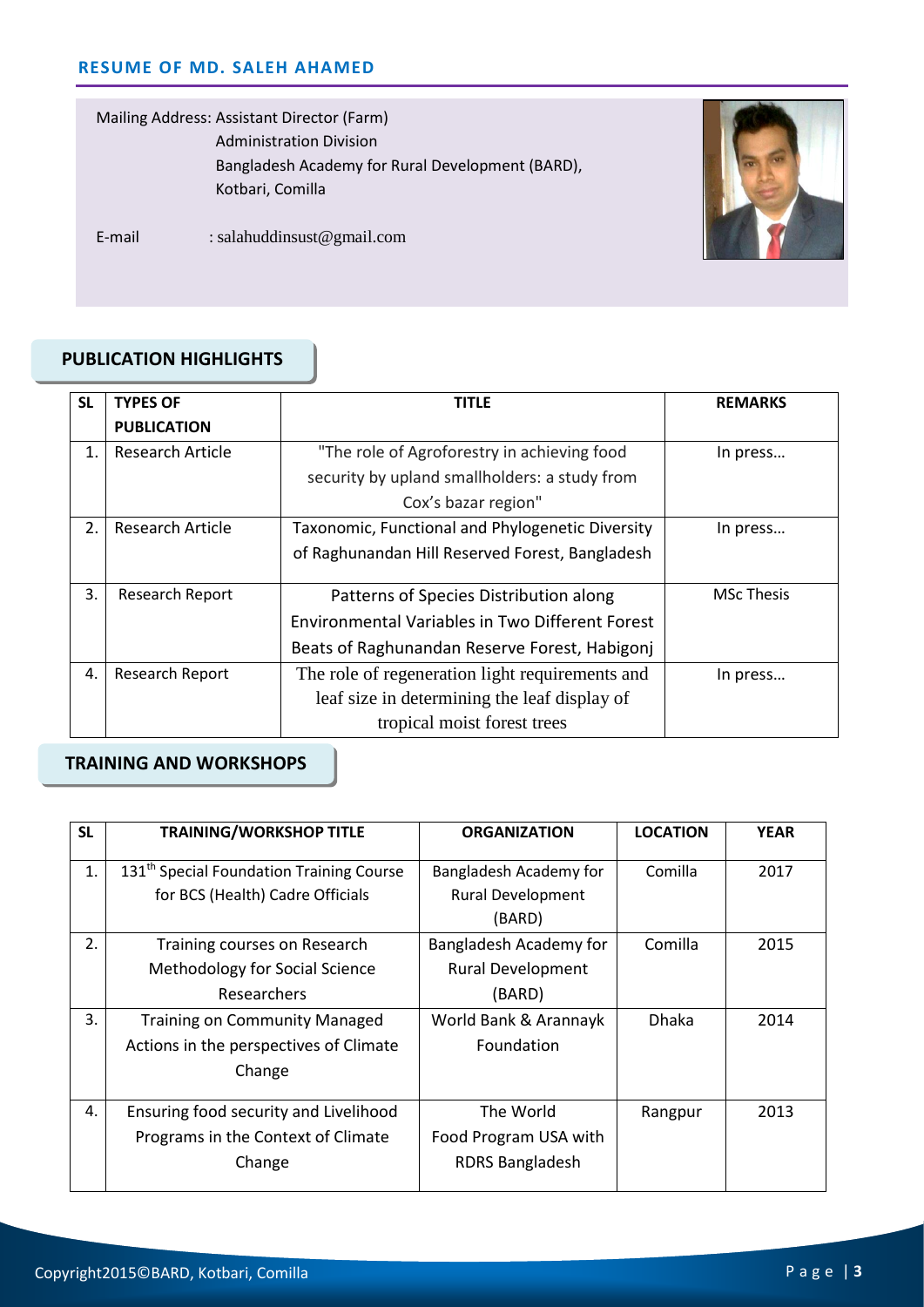Mailing Address: Assistant Director (Farm) Administration Division Bangladesh Academy for Rural Development (BARD), Kotbari, Comilla



E-mail : salahuddinsust@gmail.com

### **PUBLICATION HIGHLIGHTS**

| <b>SL</b> | <b>TYPES OF</b>        | <b>TITLE</b>                                           | <b>REMARKS</b>    |  |
|-----------|------------------------|--------------------------------------------------------|-------------------|--|
|           | <b>PUBLICATION</b>     |                                                        |                   |  |
| 1.        | Research Article       | "The role of Agroforestry in achieving food            | In press          |  |
|           |                        | security by upland smallholders: a study from          |                   |  |
|           |                        | Cox's bazar region"                                    |                   |  |
| 2.        | Research Article       | Taxonomic, Functional and Phylogenetic Diversity       | In press          |  |
|           |                        | of Raghunandan Hill Reserved Forest, Bangladesh        |                   |  |
|           |                        |                                                        |                   |  |
| 3.        | Research Report        | Patterns of Species Distribution along                 | <b>MSc Thesis</b> |  |
|           |                        | <b>Environmental Variables in Two Different Forest</b> |                   |  |
|           |                        | Beats of Raghunandan Reserve Forest, Habigonj          |                   |  |
| 4.        | <b>Research Report</b> | The role of regeneration light requirements and        | In press          |  |
|           |                        | leaf size in determining the leaf display of           |                   |  |
|           |                        | tropical moist forest trees                            |                   |  |

# **TRAINING AND WORKSHOPS**

| <b>SL</b> | <b>TRAINING/WORKSHOP TITLE</b>                       | <b>ORGANIZATION</b>      | <b>LOCATION</b> | <b>YEAR</b> |
|-----------|------------------------------------------------------|--------------------------|-----------------|-------------|
| 1.        | 131 <sup>th</sup> Special Foundation Training Course | Bangladesh Academy for   | Comilla         | 2017        |
|           | for BCS (Health) Cadre Officials                     | <b>Rural Development</b> |                 |             |
|           |                                                      | (BARD)                   |                 |             |
| 2.        | Training courses on Research                         | Bangladesh Academy for   | Comilla         | 2015        |
|           | <b>Methodology for Social Science</b>                | <b>Rural Development</b> |                 |             |
|           | Researchers                                          | (BARD)                   |                 |             |
| 3.        | <b>Training on Community Managed</b>                 | World Bank & Arannayk    | <b>Dhaka</b>    | 2014        |
|           | Actions in the perspectives of Climate               | Foundation               |                 |             |
|           | Change                                               |                          |                 |             |
|           |                                                      |                          |                 |             |
| 4.        | Ensuring food security and Livelihood                | The World                | Rangpur         | 2013        |
|           | Programs in the Context of Climate                   | Food Program USA with    |                 |             |
|           | Change                                               | RDRS Bangladesh          |                 |             |
|           |                                                      |                          |                 |             |